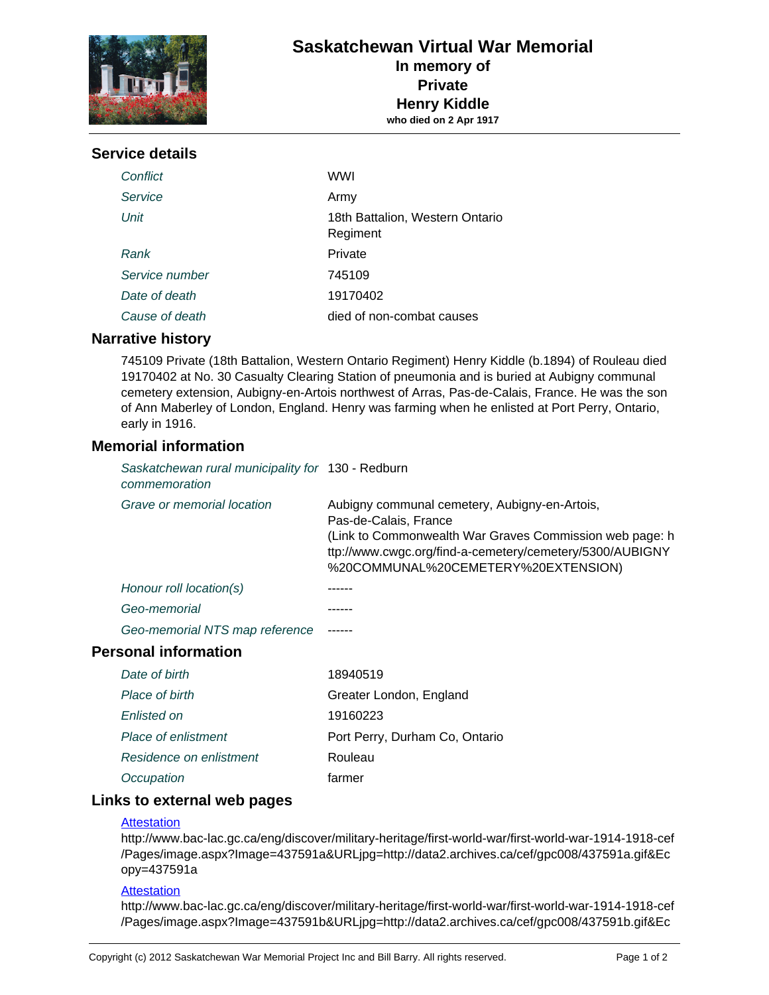

# **Service details**

| Conflict       | WWI                                         |
|----------------|---------------------------------------------|
| Service        | Army                                        |
| Unit           | 18th Battalion, Western Ontario<br>Regiment |
| Rank           | Private                                     |
| Service number | 745109                                      |
| Date of death  | 19170402                                    |
| Cause of death | died of non-combat causes                   |

## **Narrative history**

745109 Private (18th Battalion, Western Ontario Regiment) Henry Kiddle (b.1894) of Rouleau died 19170402 at No. 30 Casualty Clearing Station of pneumonia and is buried at Aubigny communal cemetery extension, Aubigny-en-Artois northwest of Arras, Pas-de-Calais, France. He was the son of Ann Maberley of London, England. Henry was farming when he enlisted at Port Perry, Ontario, early in 1916.

## **Memorial information**

| Saskatchewan rural municipality for 130 - Redburn<br>commemoration |                                                                                                                                                                                                                                      |
|--------------------------------------------------------------------|--------------------------------------------------------------------------------------------------------------------------------------------------------------------------------------------------------------------------------------|
| Grave or memorial location                                         | Aubigny communal cemetery, Aubigny-en-Artois,<br>Pas-de-Calais, France<br>(Link to Commonwealth War Graves Commission web page: h<br>ttp://www.cwgc.org/find-a-cemetery/cemetery/5300/AUBIGNY<br>%20COMMUNAL%20CEMETERY%20EXTENSION) |
| Honour roll location(s)                                            |                                                                                                                                                                                                                                      |
| Geo-memorial                                                       |                                                                                                                                                                                                                                      |
| Geo-memorial NTS map reference                                     |                                                                                                                                                                                                                                      |
| <b>Personal information</b>                                        |                                                                                                                                                                                                                                      |

| Date of birth           | 18940519                       |
|-------------------------|--------------------------------|
| Place of birth          | Greater London, England        |
| Enlisted on             | 19160223                       |
| Place of enlistment     | Port Perry, Durham Co, Ontario |
| Residence on enlistment | Rouleau                        |
| Occupation              | farmer                         |

## **Links to external web pages**

### **[Attestation](http://www.bac-lac.gc.ca/eng/discover/military-heritage/first-world-war/first-world-war-1914-1918-cef/Pages/image.aspx?Image=437591a&URLjpg=http://data2.archives.ca/cef/gpc008/437591a.gif&Ecopy=437591a)**

http://www.bac-lac.gc.ca/eng/discover/military-heritage/first-world-war/first-world-war-1914-1918-cef /Pages/image.aspx?Image=437591a&URLjpg=http://data2.archives.ca/cef/gpc008/437591a.gif&Ec opy=437591a

#### **Attestation**

http://www.bac-lac.gc.ca/eng/discover/military-heritage/first-world-war/first-world-war-1914-1918-cef /Pages/image.aspx?Image=437591b&URLjpg=http://data2.archives.ca/cef/gpc008/437591b.gif&Ec